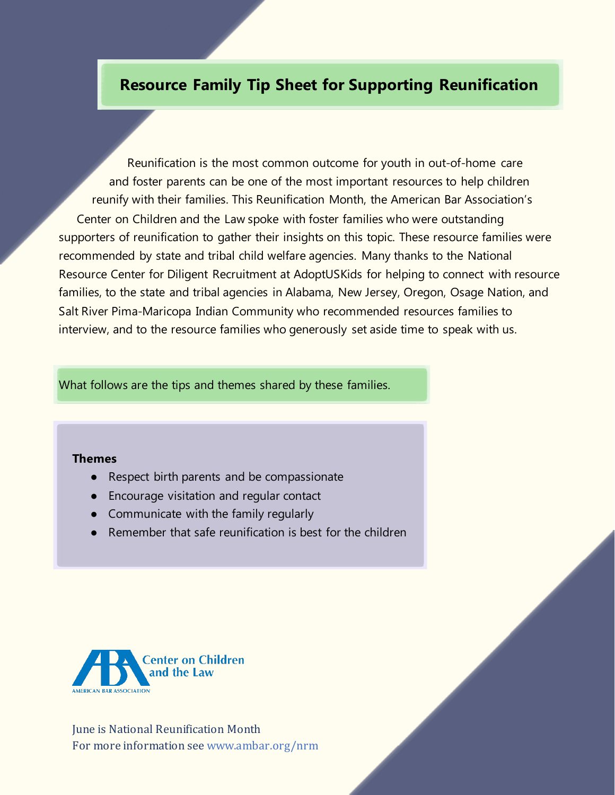# **Resource Family Tip Sheet for Supporting Reunification**

reunify with their families. This Reunification Month, the American Bar Association's Center on Children and the Law spoke with foster families who were outstanding supporters of reunification to gather their insights on this topic. These resource families were recommended by state and tribal child welfare agencies. Many thanks to the National Resource Center for Diligent Recruitment at AdoptUSKids for helping to connect with resource families, to the state and tribal agencies in Alabama, New Jersey, Oregon, Osage Nation, and Salt River Pima-Maricopa Indian Community who recommended resources families to interview, and to the resource families who generously set aside time to speak with us. Reunification is the most common outcome for youth in out-of-home care and foster parents can be one of the most important resources to help children

What follows are the tips and themes shared by these families.

#### **Themes**

- Respect birth parents and be compassionate
- Encourage visitation and regular contact
- Communicate with the family regularly
- Remember that safe reunification is best for the children



June is National Reunification Month For more information see www.ambar.org/nrm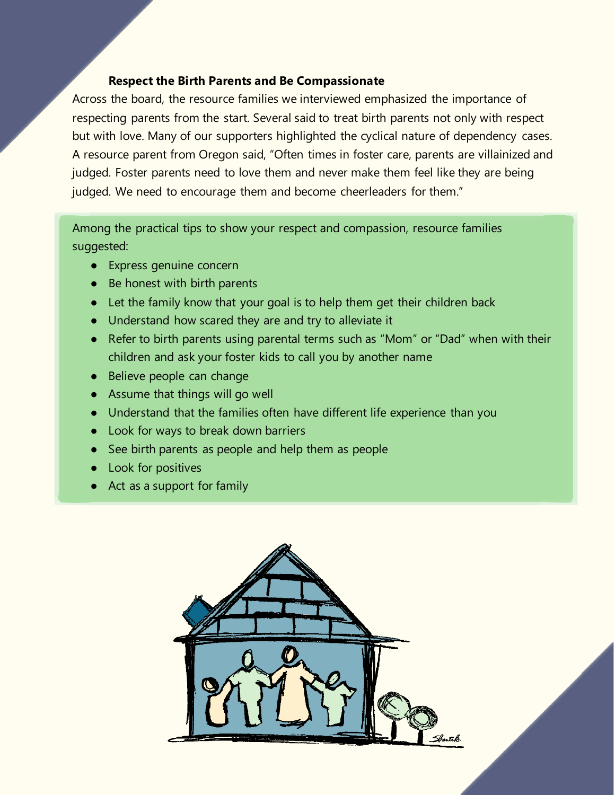#### **Respect the Birth Parents and Be Compassionate**

Across the board, the resource families we interviewed emphasized the importance of respecting parents from the start. Several said to treat birth parents not only with respect but with love. Many of our supporters highlighted the cyclical nature of dependency cases. A resource parent from Oregon said, "Often times in foster care, parents are villainized and judged. Foster parents need to love them and never make them feel like they are being judged. We need to encourage them and become cheerleaders for them."

Among the practical tips to show your respect and compassion, resource families suggested:

- Express genuine concern
- Be honest with birth parents
- Let the family know that your goal is to help them get their children back
- Understand how scared they are and try to alleviate it
- Refer to birth parents using parental terms such as "Mom" or "Dad" when with their children and ask your foster kids to call you by another name
- Believe people can change
- Assume that things will go well
- Understand that the families often have different life experience than you
- Look for ways to break down barriers
- See birth parents as people and help them as people
- Look for positives
- Act as a support for family

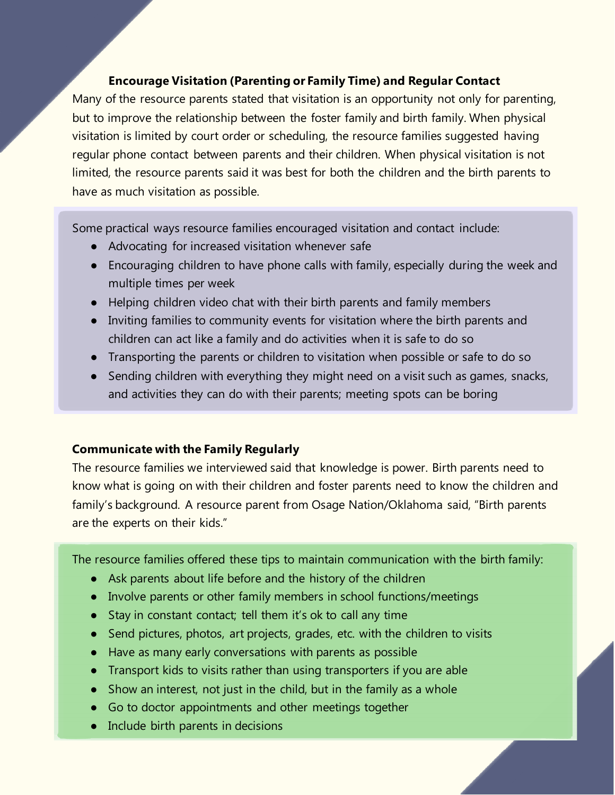## **Encourage Visitation (Parenting or Family Time) and Regular Contact**

Many of the resource parents stated that visitation is an opportunity not only for parenting, but to improve the relationship between the foster family and birth family. When physical visitation is limited by court order or scheduling, the resource families suggested having regular phone contact between parents and their children. When physical visitation is not limited, the resource parents said it was best for both the children and the birth parents to have as much visitation as possible.

Some practical ways resource families encouraged visitation and contact include:

- Advocating for increased visitation whenever safe
- Encouraging children to have phone calls with family, especially during the week and multiple times per week
- Helping children video chat with their birth parents and family members
- Inviting families to community events for visitation where the birth parents and children can act like a family and do activities when it is safe to do so
- Transporting the parents or children to visitation when possible or safe to do so
- Sending children with everything they might need on a visit such as games, snacks, and activities they can do with their parents; meeting spots can be boring

### **Communicate with the Family Regularly**

The resource families we interviewed said that knowledge is power. Birth parents need to know what is going on with their children and foster parents need to know the children and family's background. A resource parent from Osage Nation/Oklahoma said, "Birth parents are the experts on their kids."

The resource families offered these tips to maintain communication with the birth family:

- Ask parents about life before and the history of the children
- Involve parents or other family members in school functions/meetings
- Stay in constant contact; tell them it's ok to call any time
- Send pictures, photos, art projects, grades, etc. with the children to visits
- Have as many early conversations with parents as possible
- Transport kids to visits rather than using transporters if you are able
- Show an interest, not just in the child, but in the family as a whole
- Go to doctor appointments and other meetings together
- Include birth parents in decisions